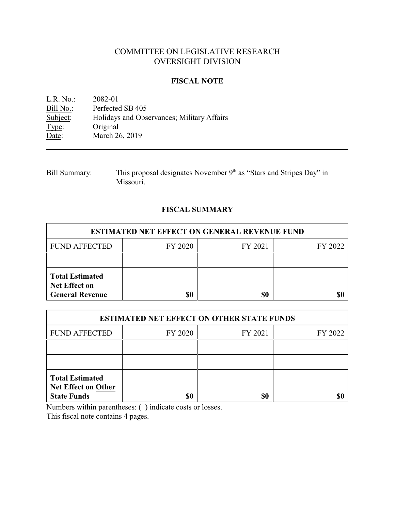# COMMITTEE ON LEGISLATIVE RESEARCH OVERSIGHT DIVISION

### **FISCAL NOTE**

<u>L.R. No.</u>: 2082-01<br>Bill No.: Perfected Bill No.: Perfected SB 405<br>Subject: Holidays and Obse Subject: Holidays and Observances; Military Affairs<br>Type: Original Type: Original<br>Date: March 26 March 26, 2019

| <b>Bill Summary:</b> | This proposal designates November 9 <sup>th</sup> as "Stars and Stripes Day" in |
|----------------------|---------------------------------------------------------------------------------|
|                      | Missouri.                                                                       |

# **FISCAL SUMMARY**

| <b>ESTIMATED NET EFFECT ON GENERAL REVENUE FUND</b>                      |         |         |         |  |
|--------------------------------------------------------------------------|---------|---------|---------|--|
| <b>FUND AFFECTED</b>                                                     | FY 2020 | FY 2021 | FY 2022 |  |
|                                                                          |         |         |         |  |
| <b>Total Estimated</b><br><b>Net Effect on</b><br><b>General Revenue</b> | \$0     | \$0     |         |  |

| <b>ESTIMATED NET EFFECT ON OTHER STATE FUNDS</b>                           |         |         |         |  |
|----------------------------------------------------------------------------|---------|---------|---------|--|
| <b>FUND AFFECTED</b>                                                       | FY 2020 | FY 2021 | FY 2022 |  |
|                                                                            |         |         |         |  |
|                                                                            |         |         |         |  |
| <b>Total Estimated</b><br><b>Net Effect on Other</b><br><b>State Funds</b> | \$0     | \$0     |         |  |

Numbers within parentheses: ( ) indicate costs or losses.

This fiscal note contains 4 pages.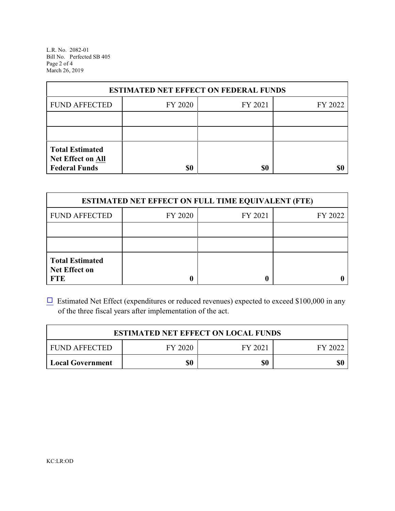L.R. No. 2082-01 Bill No. Perfected SB 405 Page 2 of 4 March 26, 2019

| <b>ESTIMATED NET EFFECT ON FEDERAL FUNDS</b>                        |         |         |         |  |
|---------------------------------------------------------------------|---------|---------|---------|--|
| <b>FUND AFFECTED</b>                                                | FY 2020 | FY 2021 | FY 2022 |  |
|                                                                     |         |         |         |  |
|                                                                     |         |         |         |  |
| <b>Total Estimated</b><br>Net Effect on All<br><b>Federal Funds</b> | \$0     | \$0     |         |  |

| <b>ESTIMATED NET EFFECT ON FULL TIME EQUIVALENT (FTE)</b>    |         |         |         |  |
|--------------------------------------------------------------|---------|---------|---------|--|
| <b>FUND AFFECTED</b>                                         | FY 2020 | FY 2021 | FY 2022 |  |
|                                                              |         |         |         |  |
|                                                              |         |         |         |  |
| <b>Total Estimated</b><br><b>Net Effect on</b><br><b>FTE</b> |         |         |         |  |

 $\Box$  Estimated Net Effect (expenditures or reduced revenues) expected to exceed \$100,000 in any of the three fiscal years after implementation of the act.

| <b>ESTIMATED NET EFFECT ON LOCAL FUNDS</b> |         |         |         |
|--------------------------------------------|---------|---------|---------|
| <b>FUND AFFECTED</b>                       | FY 2020 | FY 2021 | FY 2022 |
| Local Government                           | \$0     | \$0     | \$0     |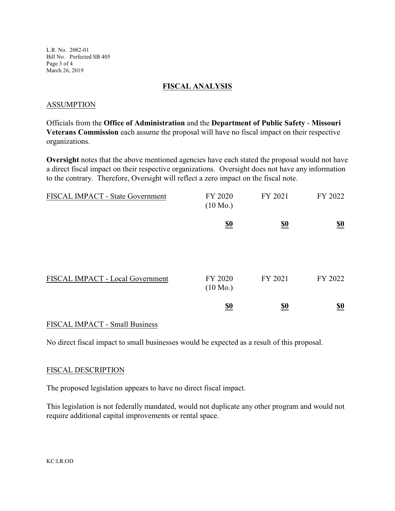L.R. No. 2082-01 Bill No. Perfected SB 405 Page 3 of 4 March 26, 2019

#### **FISCAL ANALYSIS**

#### ASSUMPTION

Officials from the **Office of Administration** and the **Department of Public Safety** - **Missouri Veterans Commission** each assume the proposal will have no fiscal impact on their respective organizations.

**Oversight** notes that the above mentioned agencies have each stated the proposal would not have a direct fiscal impact on their respective organizations. Oversight does not have any information to the contrary. Therefore, Oversight will reflect a zero impact on the fiscal note.

| FISCAL IMPACT - State Government | FY 2020<br>$(10 \text{ Mo.})$ | FY 2021                       | FY 2022                       |
|----------------------------------|-------------------------------|-------------------------------|-------------------------------|
|                                  | $\underline{\underline{\$0}}$ | $\underline{\underline{\$0}}$ | $\underline{\underline{\$0}}$ |
| FISCAL IMPACT - Local Government | FY 2020<br>$(10 \text{ Mo.})$ | FY 2021                       | FY 2022                       |
|                                  | $\underline{\underline{\$0}}$ | <u>\$0</u>                    | $\underline{\underline{\$0}}$ |
|                                  |                               |                               |                               |

### FISCAL IMPACT - Small Business

No direct fiscal impact to small businesses would be expected as a result of this proposal.

#### FISCAL DESCRIPTION

The proposed legislation appears to have no direct fiscal impact.

This legislation is not federally mandated, would not duplicate any other program and would not require additional capital improvements or rental space.